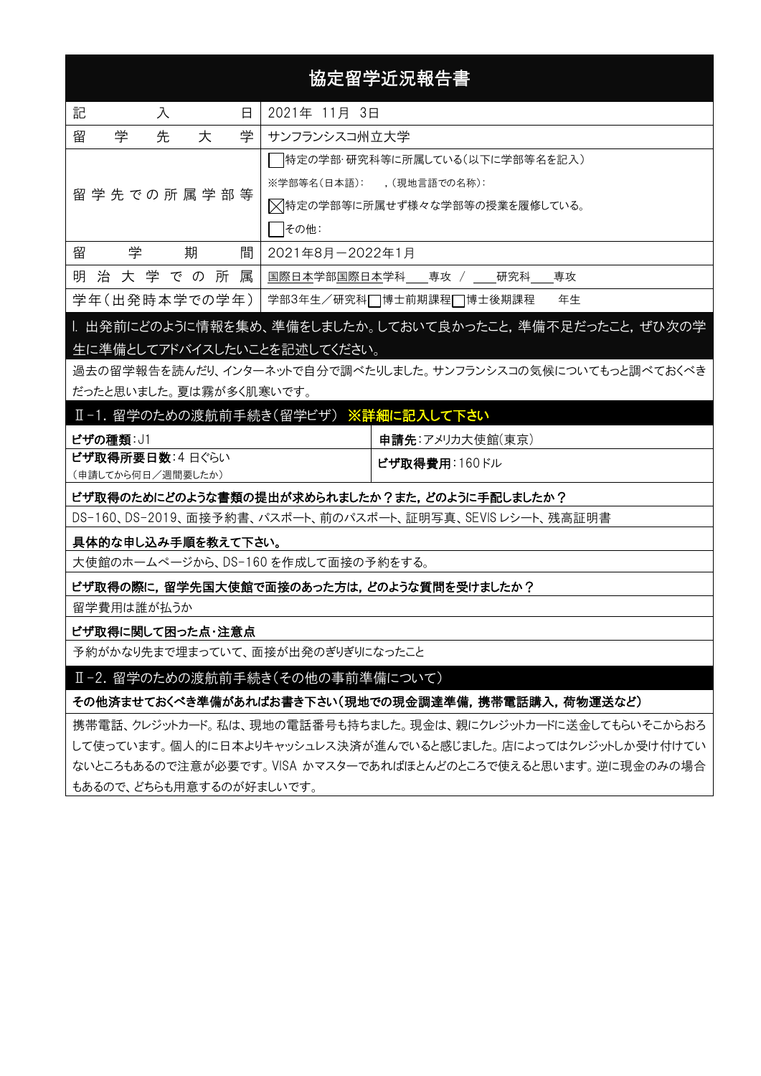# 協定留学近況報告書

| 記<br>入<br>日           | 2021年 11月 3日                  |  |  |  |  |
|-----------------------|-------------------------------|--|--|--|--|
| 学<br>留<br>学<br>先<br>大 | サンフランシスコ州立大学                  |  |  |  |  |
|                       | 特定の学部・研究科等に所属している(以下に学部等名を記入) |  |  |  |  |
| 留 学 先 での 所 属 学 部 等    | ※学部等名(日本語): (現地言語での名称):       |  |  |  |  |
|                       | ▽特定の学部等に所属せず様々な学部等の授業を履修している。 |  |  |  |  |
|                       | その他:                          |  |  |  |  |
| 留<br>期<br>学<br>間      | 2021年8月-2022年1月               |  |  |  |  |
| 治 大 学 で の 所 属<br>明    | 国際日本学部国際日本学科 専攻 / 研究科 専攻      |  |  |  |  |
| 学年(出発時本学での学年)         | 年生<br>学部3年生/研究科□博士前期課程□博士後期課程 |  |  |  |  |

## I. 出発前にどのように情報を集め、準備をしましたか。しておいて良かったこと,準備不足だったこと,ぜひ次の学 生に準備としてアドバイスしたいことを記述してください。

過去の留学報告を読んだり、インターネットで自分で調べたりしました。サンフランシスコの気候についてもっと調べておくべき だったと思いました。夏は霧が多く肌寒いです。

# Ⅱ-1. 留学のための渡航前手続き(留学ビザ) ※詳細に記入して下さい

| ビザの種類: J1         | 申請先:アメリカ大使館(東京)       |
|-------------------|-----------------------|
| ビザ取得所要日数: 4日ぐらい   | <b> ビザ取得費用</b> :160ドル |
| (申請してから何日/週間要したか) |                       |

#### ビザ取得のためにどのような書類の提出が求められましたか?また,どのように手配しましたか?

DS-160、DS-2019、面接予約書、パスポート、前のパスポート、証明写真、SEVIS レシート、残高証明書

#### 具体的な申し込み手順を教えて下さい。

大使館のホームぺージから、DS-160 を作成して面接の予約をする。

#### ビザ取得の際に,留学先国大使館で面接のあった方は,どのような質問を受けましたか?

留学費用は誰が払うか

#### ビザ取得に関して困った点・注意点

予約がかなり先まで埋まっていて、面接が出発のぎりぎりになったこと

#### Ⅱ-2. 留学のための渡航前手続き(その他の事前準備について)

#### その他済ませておくべき準備があればお書き下さい(現地での現金調達準備,携帯電話購入,荷物運送など)

携帯電話、クレジットカード。私は、現地の電話番号も持ちました。現金は、親にクレジットカードに送金してもらいそこからおろ して使っています。個人的に日本よりキャッシュレス決済が進んでいると感じました。店によってはクレジットしか受け付けてい ないところもあるので注意が必要です。VISA かマスターであればほとんどのところで使えると思います。逆に現金のみの場合 もあるので、どちらも用意するのが好ましいです。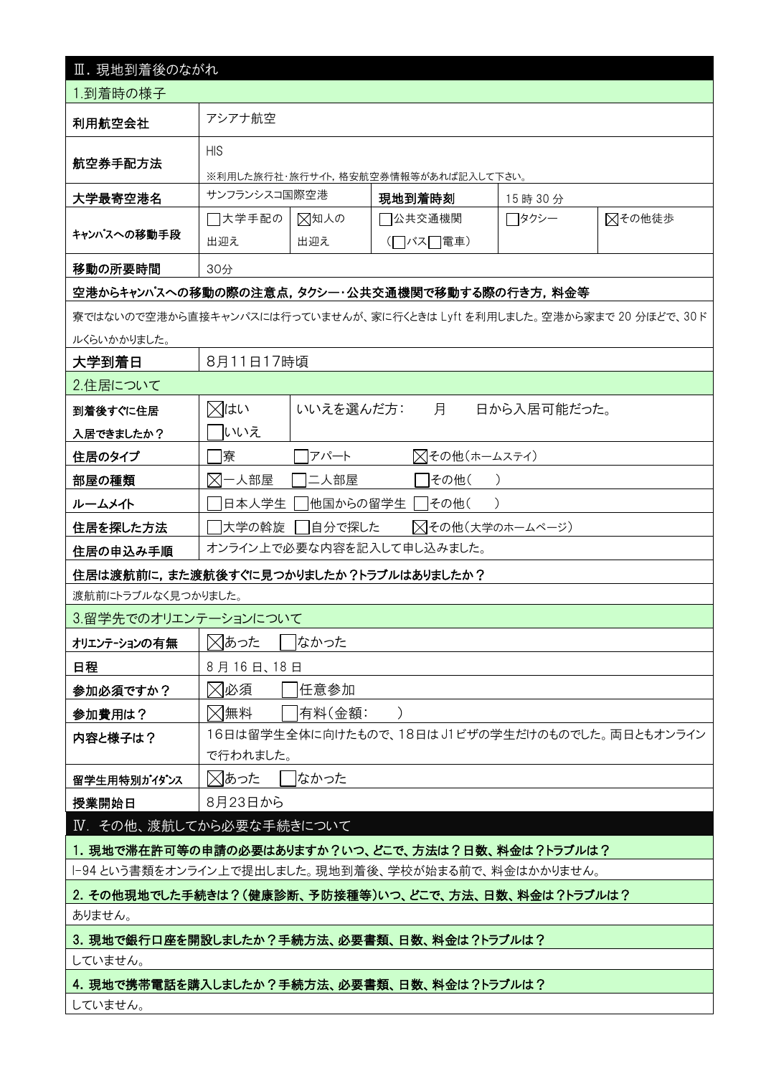| Ⅲ. 現地到着後のながれ                                          |                                                     |                                     |                                                                       |             |  |  |  |  |
|-------------------------------------------------------|-----------------------------------------------------|-------------------------------------|-----------------------------------------------------------------------|-------------|--|--|--|--|
| 1.到着時の様子                                              |                                                     |                                     |                                                                       |             |  |  |  |  |
| 利用航空会社                                                | アシアナ航空                                              |                                     |                                                                       |             |  |  |  |  |
|                                                       | <b>HIS</b>                                          |                                     |                                                                       |             |  |  |  |  |
| 航空券手配方法                                               |                                                     | ※利用した旅行社・旅行サイト,格安航空券情報等があれば記入して下さい。 |                                                                       |             |  |  |  |  |
| 大学最寄空港名                                               | サンフランシスコ国際空港                                        |                                     | 現地到着時刻                                                                | 15 時 30 分   |  |  |  |  |
|                                                       | □大学手配の<br>⊠知人の<br>7公共交通機関<br>⊠その他徒歩<br>┌─タクシー       |                                     |                                                                       |             |  |  |  |  |
| キャンパスへの移動手段                                           | 出迎え                                                 | 出迎え                                 | (□バス□電車)                                                              |             |  |  |  |  |
| 移動の所要時間                                               | 30分                                                 |                                     |                                                                       |             |  |  |  |  |
|                                                       |                                                     |                                     | 空港からキャンパスへの移動の際の注意点,タクシー・公共交通機関で移動する際の行き方,料金等                         |             |  |  |  |  |
|                                                       |                                                     |                                     | 寮ではないので空港から直接キャンパスには行っていませんが、家に行くときは Lyft を利用しました。空港から家まで 20 分ほどで、30ド |             |  |  |  |  |
| ルくらいかかりました。                                           |                                                     |                                     |                                                                       |             |  |  |  |  |
| 大学到着日                                                 | 8月11日17時頃                                           |                                     |                                                                       |             |  |  |  |  |
| 2.住居について                                              |                                                     |                                     |                                                                       |             |  |  |  |  |
| 到着後すぐに住居                                              | ⊠はい                                                 | いいえを選んだ方:                           | 月                                                                     | 日から入居可能だった。 |  |  |  |  |
| 入居できましたか?                                             | いいえ                                                 |                                     |                                                                       |             |  |  |  |  |
| 住居のタイプ                                                | 寮                                                   | アパート                                | △その他(ホームステイ)                                                          |             |  |  |  |  |
| 部屋の種類                                                 | $\boxtimes$<br>一人部屋<br>二人部屋<br> その他(                |                                     |                                                                       |             |  |  |  |  |
| ルームメイト                                                | 日本人学生                                               | 他国からの留学生                            | その他(                                                                  |             |  |  |  |  |
| 住居を探した方法                                              | 大学の斡旋                                               | △その他(大学のホームページ)<br> 自分で探した          |                                                                       |             |  |  |  |  |
| オンライン上で必要な内容を記入して申し込みました。<br>住居の申込み手順                 |                                                     |                                     |                                                                       |             |  |  |  |  |
| 住居は渡航前に,また渡航後すぐに見つかりましたか?トラブルはありましたか?                 |                                                     |                                     |                                                                       |             |  |  |  |  |
| 渡航前にトラブルなく見つかりました。                                    |                                                     |                                     |                                                                       |             |  |  |  |  |
| 3.留学先でのオリエンテーションについて                                  |                                                     |                                     |                                                                       |             |  |  |  |  |
| オリエンテーションの有無                                          | ⊠あった<br>はかった                                        |                                     |                                                                       |             |  |  |  |  |
| 日程                                                    | 8月16日、18日                                           |                                     |                                                                       |             |  |  |  |  |
| 参加必須ですか?                                              | ⊠必須<br> 任意参加                                        |                                     |                                                                       |             |  |  |  |  |
| 参加費用は?                                                | ⊠無料                                                 | 有料(金額:                              | $\lambda$                                                             |             |  |  |  |  |
| 内容と様子は?                                               |                                                     |                                     | 16日は留学生全体に向けたもので、18日はJ1ビザの学生だけのものでした。両日ともオンライン                        |             |  |  |  |  |
|                                                       | で行われました。                                            |                                     |                                                                       |             |  |  |  |  |
| 留学生用特別ガイダンス                                           | ⊠あった<br>はかった                                        |                                     |                                                                       |             |  |  |  |  |
| 授業開始日                                                 | 8月23日から                                             |                                     |                                                                       |             |  |  |  |  |
| Ⅳ. その他、渡航してから必要な手続きについて                               |                                                     |                                     |                                                                       |             |  |  |  |  |
|                                                       |                                                     |                                     | 1. 現地で滞在許可等の申請の必要はありますか?いつ、どこで、方法は?日数、料金は?トラブルは?                      |             |  |  |  |  |
|                                                       |                                                     |                                     | -94という書類をオンライン上で提出しました。現地到着後、学校が始まる前で、料金はかかりません。                      |             |  |  |  |  |
| ありません。                                                | 2. その他現地でした手続きは?(健康診断、予防接種等)いつ、どこで、方法、日数、料金は?トラブルは? |                                     |                                                                       |             |  |  |  |  |
|                                                       |                                                     |                                     |                                                                       |             |  |  |  |  |
| 3. 現地で銀行口座を開設しましたか?手続方法、必要書類、日数、料金は?トラブルは?<br>していません。 |                                                     |                                     |                                                                       |             |  |  |  |  |
| 4. 現地で携帯電話を購入しましたか?手続方法、必要書類、日数、料金は?トラブルは?            |                                                     |                                     |                                                                       |             |  |  |  |  |
| していません。                                               |                                                     |                                     |                                                                       |             |  |  |  |  |
|                                                       |                                                     |                                     |                                                                       |             |  |  |  |  |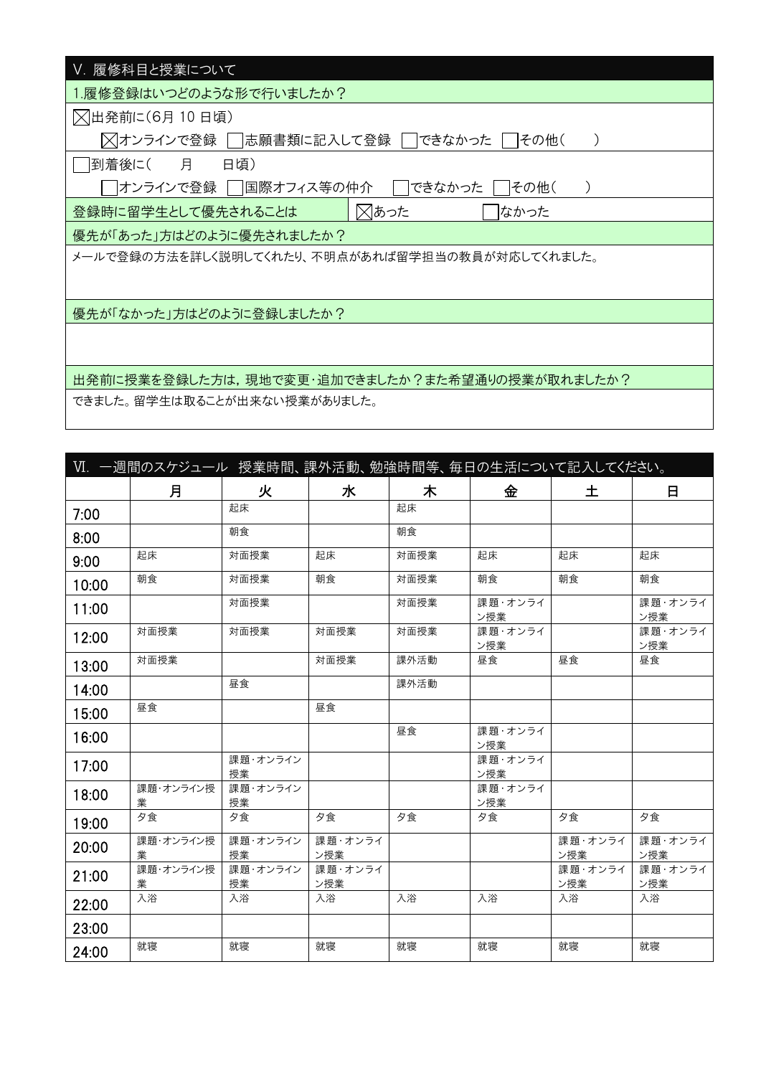| Ⅴ. 履修科目と授業について                                  |
|-------------------------------------------------|
| 履修登録はいつどのような形で行いましたか?                           |
| ○出発前に(6月10日頃)                                   |
| ╳ オンラインで登録    志願書類に記入して登録  <br>できなかった<br>その他(   |
| 月<br> 到着後に(<br>日頃)                              |
| オンラインで登録    国際オフィス等の仲介 <br>できなかった<br>その他(       |
| ⊠あった<br>登録時に留学生として優先されることは<br>なかった              |
| 優先が「あった」方はどのように優先されましたか?                        |
| メールで登録の方法を詳しく説明してくれたり、不明点があれば留学担当の教員が対応してくれました。 |
|                                                 |
| 優先が「なかった」方はどのように登録しましたか?                        |
|                                                 |
|                                                 |
| 出発前に授業を登録した方は,現地で変更・追加できましたか?また希望通りの授業が取れましたか?  |
| できました。留学生は取ることが出来ない授業がありました。                    |

|       | Ⅵ. 一週間のスケジュール 授業時間、課外活動、勉強時間等、毎日の生活について記入してください。 |                |                |      |                |                |                |
|-------|--------------------------------------------------|----------------|----------------|------|----------------|----------------|----------------|
|       | 月                                                | 火              | 水              | 木    | 金              | 土              | 日              |
| 7:00  |                                                  | 起床             |                | 起床   |                |                |                |
| 8:00  |                                                  | 朝食             |                | 朝食   |                |                |                |
| 9:00  | 起床                                               | 対面授業           | 起床             | 対面授業 | 起床             | 起床             | 起床             |
| 10:00 | 朝食                                               | 対面授業           | 朝食             | 対面授業 | 朝食             | 朝食             | 朝食             |
| 11:00 |                                                  | 対面授業           |                | 対面授業 | 課題・オンライ<br>ン授業 |                | 課題・オンライ<br>ン授業 |
| 12:00 | 対面授業                                             | 対面授業           | 対面授業           | 対面授業 | 課題・オンライ<br>ン授業 |                | 課題・オンライ<br>ン授業 |
| 13:00 | 対面授業                                             |                | 対面授業           | 課外活動 | 昼食             | 昼食             | 昼食             |
| 14:00 |                                                  | 昼食             |                | 課外活動 |                |                |                |
| 15:00 | 昼食                                               |                | 昼食             |      |                |                |                |
| 16:00 |                                                  |                |                | 昼食   | 課題・オンライ<br>ン授業 |                |                |
| 17:00 |                                                  | 課題・オンライン<br>授業 |                |      | 課題・オンライ<br>ン授業 |                |                |
| 18:00 | 課題・オンライン授<br>業                                   | 課題・オンライン<br>授業 |                |      | 課題・オンライ<br>ン授業 |                |                |
| 19:00 | 夕食                                               | 夕食             | 夕食             | 夕食   | 夕食             | 夕食             | 夕食             |
| 20:00 | 課題・オンライン授<br>業                                   | 課題・オンライン<br>授業 | 課題・オンライ<br>ン授業 |      |                | 課題・オンライ<br>ン授業 | 課題・オンライ<br>ン授業 |
| 21:00 | 課題・オンライン授<br>業                                   | 課題・オンライン<br>授業 | 課題・オンライ<br>ン授業 |      |                | 課題・オンライ<br>ン授業 | 課題・オンライ<br>ン授業 |
| 22:00 | 入浴                                               | 入浴             | 入浴             | 入浴   | 入浴             | 入浴             | 入浴             |
| 23:00 |                                                  |                |                |      |                |                |                |
| 24:00 | 就寝                                               | 就寝             | 就寝             | 就寝   | 就寝             | 就寝             | 就寝             |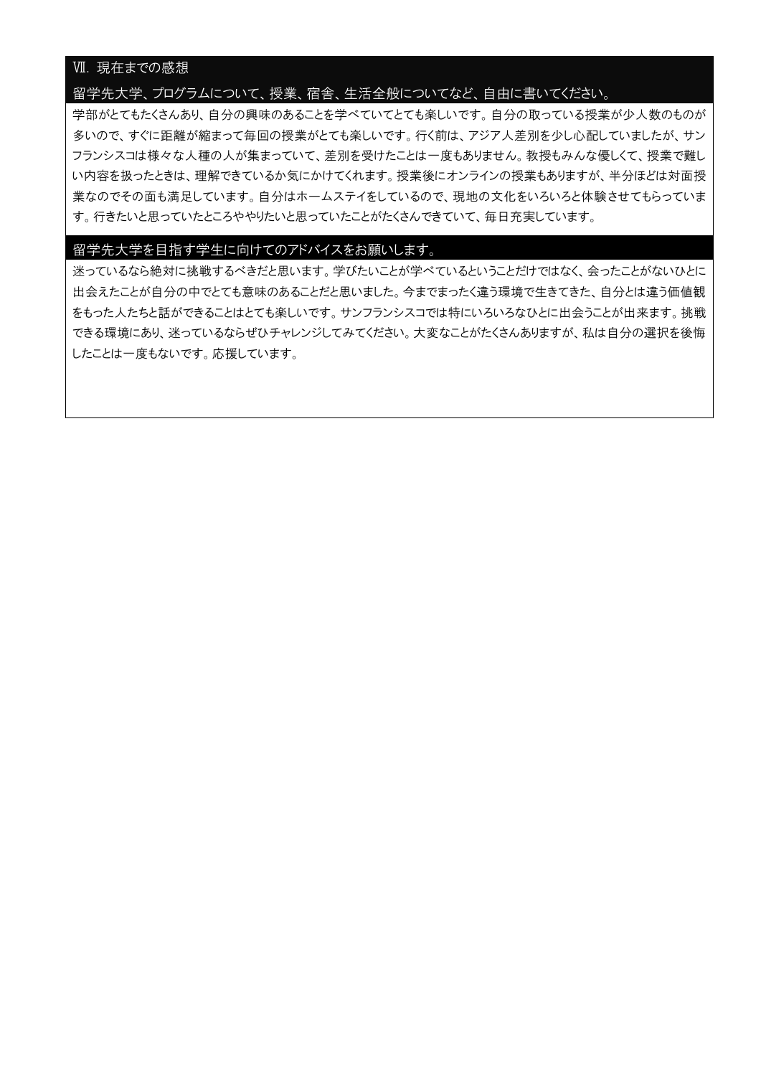## Ⅶ. 現在までの感想

#### 留学先大学、プログラムについて、授業、宿舎、生活全般についてなど、自由に書いてください。

学部がとてもたくさんあり、自分の興味のあることを学べていてとても楽しいです。自分の取っている授業が少人数のものが 多いので、すぐに距離が縮まって毎回の授業がとても楽しいです。行く前は、アジア人差別を少し心配していましたが、サン フランシスコは様々な人種の人が集まっていて、差別を受けたことは一度もありません。教授もみんな優しくて、授業で難し い内容を扱ったときは、理解できているか気にかけてくれます。授業後にオンラインの授業もありますが、半分ほどは対面授 業なのでその面も満足しています。自分はホームステイをしているので、現地の文化をいろいろと体験させてもらっていま す。行きたいと思っていたところややりたいと思っていたことがたくさんできていて、毎日充実しています。

#### 留学先大学を目指す学生に向けてのアドバイスをお願いします。

迷っているなら絶対に挑戦するべきだと思います。学びたいことが学べているということだけではなく、会ったことがないひとに 出会えたことが自分の中でとても意味のあることだと思いました。今までまったく違う環境で生きてきた、自分とは違う価値観 をもった人たちと話ができることはとても楽しいです。サンフランシスコでは特にいろいろなひとに出会うことが出来ます。挑戦 できる環境にあり、迷っているならぜひチャレンジしてみてください。大変なことがたくさんありますが、私は自分の選択を後悔 したことは一度もないです。応援しています。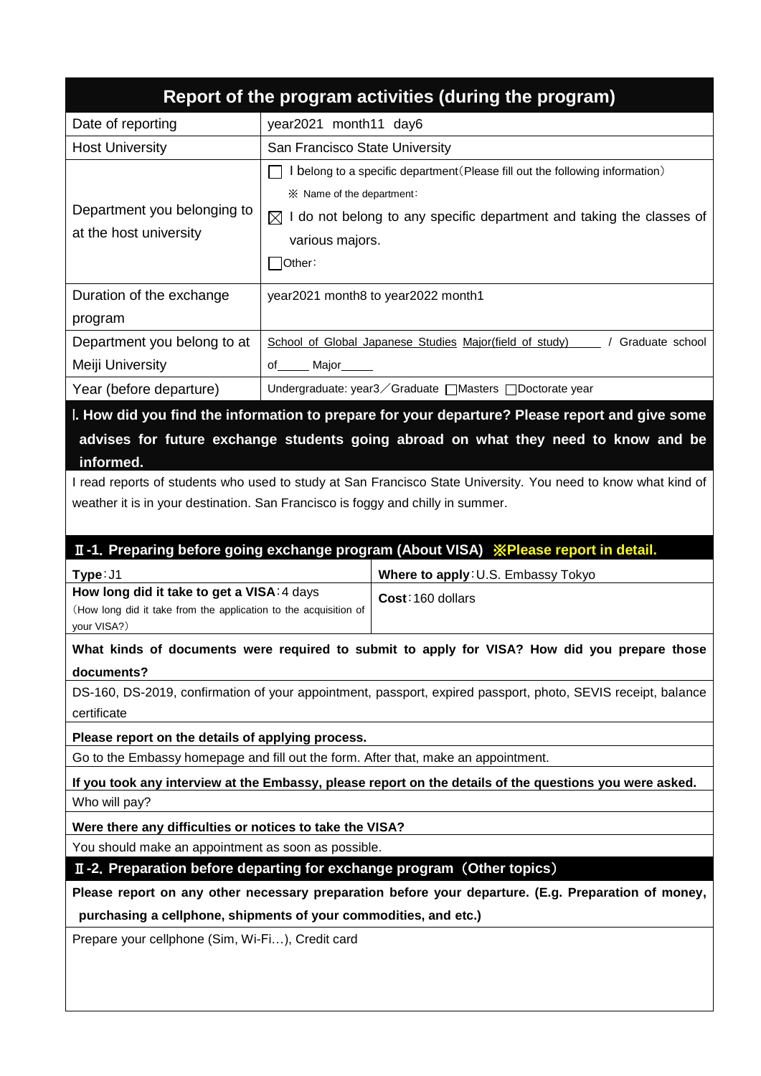|                                                                                                                                     | Report of the program activities (during the program)                                                                                                                                                                                                                                  |  |  |  |  |  |
|-------------------------------------------------------------------------------------------------------------------------------------|----------------------------------------------------------------------------------------------------------------------------------------------------------------------------------------------------------------------------------------------------------------------------------------|--|--|--|--|--|
| Date of reporting                                                                                                                   | year2021 month11 day6                                                                                                                                                                                                                                                                  |  |  |  |  |  |
| <b>Host University</b>                                                                                                              | San Francisco State University                                                                                                                                                                                                                                                         |  |  |  |  |  |
| Department you belonging to<br>at the host university                                                                               | I belong to a specific department (Please fill out the following information)<br>※ Name of the department:<br>$\boxtimes$ I do not belong to any specific department and taking the classes of<br>various majors.<br>Other:                                                            |  |  |  |  |  |
| Duration of the exchange<br>program                                                                                                 | year2021 month8 to year2022 month1                                                                                                                                                                                                                                                     |  |  |  |  |  |
| Department you belong to at<br>Meiji University                                                                                     | School of Global Japanese Studies Major(field of study)<br>/ Graduate school<br>of Major                                                                                                                                                                                               |  |  |  |  |  |
| Year (before departure)                                                                                                             | Undergraduate: year3 ∕ Graduate   Masters   Doctorate year                                                                                                                                                                                                                             |  |  |  |  |  |
| informed.                                                                                                                           | advises for future exchange students going abroad on what they need to know and be<br>I read reports of students who used to study at San Francisco State University. You need to know what kind of<br>weather it is in your destination. San Francisco is foggy and chilly in summer. |  |  |  |  |  |
|                                                                                                                                     | II-1. Preparing before going exchange program (About VISA) <b>XPlease report in detail.</b>                                                                                                                                                                                            |  |  |  |  |  |
| Type: J1                                                                                                                            | Where to apply: U.S. Embassy Tokyo                                                                                                                                                                                                                                                     |  |  |  |  |  |
| How long did it take to get a VISA: 4 days<br>Cost: 160 dollars<br>(How long did it take from the application to the acquisition of |                                                                                                                                                                                                                                                                                        |  |  |  |  |  |
| your VISA?)                                                                                                                         |                                                                                                                                                                                                                                                                                        |  |  |  |  |  |
|                                                                                                                                     | What kinds of documents were required to submit to apply for VISA? How did you prepare those                                                                                                                                                                                           |  |  |  |  |  |
| documents?<br>certificate                                                                                                           | DS-160, DS-2019, confirmation of your appointment, passport, expired passport, photo, SEVIS receipt, balance                                                                                                                                                                           |  |  |  |  |  |
| Please report on the details of applying process.                                                                                   |                                                                                                                                                                                                                                                                                        |  |  |  |  |  |
|                                                                                                                                     | Go to the Embassy homepage and fill out the form. After that, make an appointment.                                                                                                                                                                                                     |  |  |  |  |  |
| Who will pay?                                                                                                                       | If you took any interview at the Embassy, please report on the details of the questions you were asked.                                                                                                                                                                                |  |  |  |  |  |
| Were there any difficulties or notices to take the VISA?                                                                            |                                                                                                                                                                                                                                                                                        |  |  |  |  |  |
| You should make an appointment as soon as possible.                                                                                 |                                                                                                                                                                                                                                                                                        |  |  |  |  |  |
|                                                                                                                                     | II-2. Preparation before departing for exchange program (Other topics)                                                                                                                                                                                                                 |  |  |  |  |  |
|                                                                                                                                     | Please report on any other necessary preparation before your departure. (E.g. Preparation of money,                                                                                                                                                                                    |  |  |  |  |  |
| Prepare your cellphone (Sim, Wi-Fi), Credit card                                                                                    | purchasing a cellphone, shipments of your commodities, and etc.)                                                                                                                                                                                                                       |  |  |  |  |  |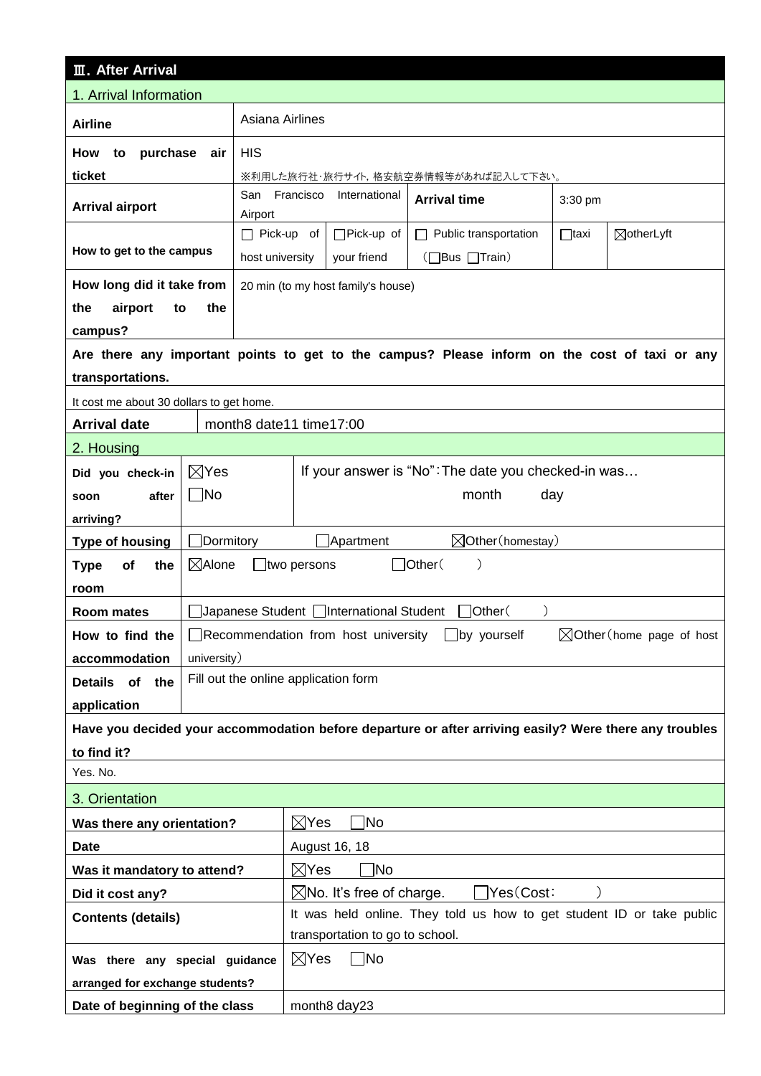| <b>III. After Arrival</b>                                                                                                                      |                                                                             |                                           |                                          |                                                                                                        |             |                                      |
|------------------------------------------------------------------------------------------------------------------------------------------------|-----------------------------------------------------------------------------|-------------------------------------------|------------------------------------------|--------------------------------------------------------------------------------------------------------|-------------|--------------------------------------|
| 1. Arrival Information                                                                                                                         |                                                                             |                                           |                                          |                                                                                                        |             |                                      |
| <b>Airline</b>                                                                                                                                 | Asiana Airlines                                                             |                                           |                                          |                                                                                                        |             |                                      |
| purchase<br>How<br>to                                                                                                                          | <b>HIS</b><br>air                                                           |                                           |                                          |                                                                                                        |             |                                      |
| ticket                                                                                                                                         |                                                                             | ※利用した旅行社・旅行サイト,格安航空券情報等があれば記入して下さい。       |                                          |                                                                                                        |             |                                      |
| <b>Arrival airport</b>                                                                                                                         | San Francisco<br>International<br><b>Arrival time</b><br>3:30 pm<br>Airport |                                           |                                          |                                                                                                        |             |                                      |
|                                                                                                                                                |                                                                             | $\Box$ Pick-up of                         | $\Box$ Pick-up of                        | $\Box$ Public transportation                                                                           | $\Box$ taxi | ⊠otherLyft                           |
| How to get to the campus                                                                                                                       |                                                                             | host university                           | your friend                              | (□Bus □Train)                                                                                          |             |                                      |
| How long did it take from                                                                                                                      |                                                                             |                                           | 20 min (to my host family's house)       |                                                                                                        |             |                                      |
| the<br>airport<br>to                                                                                                                           | the                                                                         |                                           |                                          |                                                                                                        |             |                                      |
| campus?                                                                                                                                        |                                                                             |                                           |                                          |                                                                                                        |             |                                      |
|                                                                                                                                                |                                                                             |                                           |                                          | Are there any important points to get to the campus? Please inform on the cost of taxi or any          |             |                                      |
| transportations.                                                                                                                               |                                                                             |                                           |                                          |                                                                                                        |             |                                      |
| It cost me about 30 dollars to get home.                                                                                                       |                                                                             |                                           |                                          |                                                                                                        |             |                                      |
| <b>Arrival date</b>                                                                                                                            | month8 date11 time17:00                                                     |                                           |                                          |                                                                                                        |             |                                      |
| 2. Housing                                                                                                                                     |                                                                             |                                           |                                          |                                                                                                        |             |                                      |
| Did you check-in                                                                                                                               | $\boxtimes$ Yes                                                             |                                           |                                          | If your answer is "No": The date you checked-in was                                                    |             |                                      |
| after<br>soon                                                                                                                                  | $\Box$ No                                                                   |                                           |                                          | month                                                                                                  | day         |                                      |
| arriving?                                                                                                                                      |                                                                             |                                           |                                          |                                                                                                        |             |                                      |
| <b>Type of housing</b>                                                                                                                         | $\Box$ Dormitory                                                            | $\boxtimes$ Other (homestay)<br>Apartment |                                          |                                                                                                        |             |                                      |
| <b>Type</b><br>Οf<br>the                                                                                                                       | $\boxtimes$ Alone                                                           | $\Box$ Other $($<br>$\Box$ two persons    |                                          |                                                                                                        |             |                                      |
| room                                                                                                                                           |                                                                             |                                           |                                          |                                                                                                        |             |                                      |
| <b>Room mates</b>                                                                                                                              |                                                                             |                                           | Japanese Student   International Student | 7Other(<br>$\mathcal{E}$                                                                               |             |                                      |
| How to find the                                                                                                                                |                                                                             |                                           |                                          | $\Box$ Recommendation from host university $\Box$ by yourself                                          |             | $\boxtimes$ Other (home page of host |
| accommodation                                                                                                                                  | university)                                                                 |                                           |                                          |                                                                                                        |             |                                      |
| Details of<br>the                                                                                                                              | Fill out the online application form                                        |                                           |                                          |                                                                                                        |             |                                      |
| application                                                                                                                                    |                                                                             |                                           |                                          |                                                                                                        |             |                                      |
|                                                                                                                                                |                                                                             |                                           |                                          | Have you decided your accommodation before departure or after arriving easily? Were there any troubles |             |                                      |
| to find it?                                                                                                                                    |                                                                             |                                           |                                          |                                                                                                        |             |                                      |
| Yes. No.                                                                                                                                       |                                                                             |                                           |                                          |                                                                                                        |             |                                      |
| 3. Orientation                                                                                                                                 |                                                                             |                                           |                                          |                                                                                                        |             |                                      |
| Was there any orientation?                                                                                                                     |                                                                             | $\boxtimes$ Yes                           | Mo]                                      |                                                                                                        |             |                                      |
| <b>Date</b><br>August 16, 18                                                                                                                   |                                                                             |                                           |                                          |                                                                                                        |             |                                      |
| ไNo<br>$\boxtimes$ Yes<br>Was it mandatory to attend?                                                                                          |                                                                             |                                           |                                          |                                                                                                        |             |                                      |
| Yes(Cost:<br>$\boxtimes$ No. It's free of charge.<br>Did it cost any?<br>It was held online. They told us how to get student ID or take public |                                                                             |                                           |                                          |                                                                                                        |             |                                      |
| <b>Contents (details)</b>                                                                                                                      |                                                                             |                                           | transportation to go to school.          |                                                                                                        |             |                                      |
|                                                                                                                                                |                                                                             | $\boxtimes$ Yes                           | $\neg$ No                                |                                                                                                        |             |                                      |
|                                                                                                                                                | Was there any special guidance<br>arranged for exchange students?           |                                           |                                          |                                                                                                        |             |                                      |
| Date of beginning of the class                                                                                                                 |                                                                             |                                           | month <sub>8</sub> day23                 |                                                                                                        |             |                                      |
|                                                                                                                                                |                                                                             |                                           |                                          |                                                                                                        |             |                                      |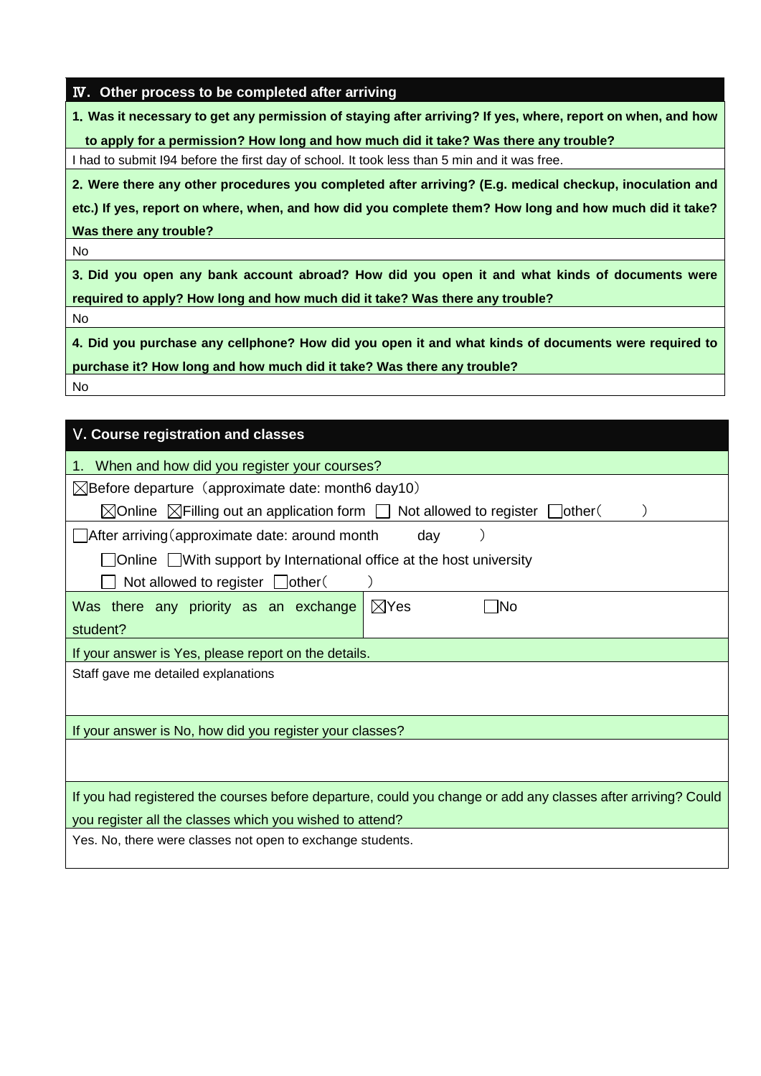|  |  | IV. Other process to be completed after arriving |  |
|--|--|--------------------------------------------------|--|
|  |  |                                                  |  |

**1**.**Was it necessary to get any permission of staying after arriving? If yes, where, report on when, and how** 

**to apply for a permission? How long and how much did it take? Was there any trouble?**

I had to submit I94 before the first day of school. It took less than 5 min and it was free.

**2**.**Were there any other procedures you completed after arriving? (E.g. medical checkup, inoculation and**

**etc.) If yes, report on where, when, and how did you complete them? How long and how much did it take? Was there any trouble?**

No

**3**.**Did you open any bank account abroad? How did you open it and what kinds of documents were required to apply? How long and how much did it take? Was there any trouble?**

No

**4**.**Did you purchase any cellphone? How did you open it and what kinds of documents were required to purchase it? How long and how much did it take? Was there any trouble?** No

| V. Course registration and classes                                                                            |  |  |  |  |  |  |
|---------------------------------------------------------------------------------------------------------------|--|--|--|--|--|--|
| When and how did you register your courses?<br>1.                                                             |  |  |  |  |  |  |
| $\boxtimes$ Before departure (approximate date: month6 day10)                                                 |  |  |  |  |  |  |
| $\boxtimes$ Online $\boxtimes$ Filling out an application form $\Box$ Not allowed to register $\Box$ other(   |  |  |  |  |  |  |
| $\Box$ After arriving (approximate date: around month<br>day                                                  |  |  |  |  |  |  |
| $\Box$ Online $\Box$ With support by International office at the host university                              |  |  |  |  |  |  |
| Not allowed to register $\Box$ other(                                                                         |  |  |  |  |  |  |
| $\boxtimes$ Yes<br>Was there any priority as an exchange<br>lNo                                               |  |  |  |  |  |  |
| student?                                                                                                      |  |  |  |  |  |  |
| If your answer is Yes, please report on the details.                                                          |  |  |  |  |  |  |
| Staff gave me detailed explanations                                                                           |  |  |  |  |  |  |
|                                                                                                               |  |  |  |  |  |  |
| If your answer is No, how did you register your classes?                                                      |  |  |  |  |  |  |
|                                                                                                               |  |  |  |  |  |  |
|                                                                                                               |  |  |  |  |  |  |
| If you had registered the courses before departure, could you change or add any classes after arriving? Could |  |  |  |  |  |  |
| you register all the classes which you wished to attend?                                                      |  |  |  |  |  |  |
| Yes. No, there were classes not open to exchange students.                                                    |  |  |  |  |  |  |
|                                                                                                               |  |  |  |  |  |  |